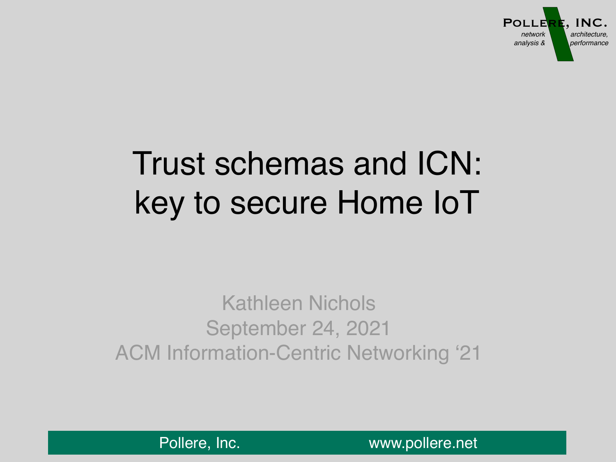

# Trust schemas and ICN: key to secure Home IoT

## Kathleen Nichols September 24, 2021 ACM Information-Centric Networking '21

[Pollere, Inc.](http://www.pollere.net) www.pollere.net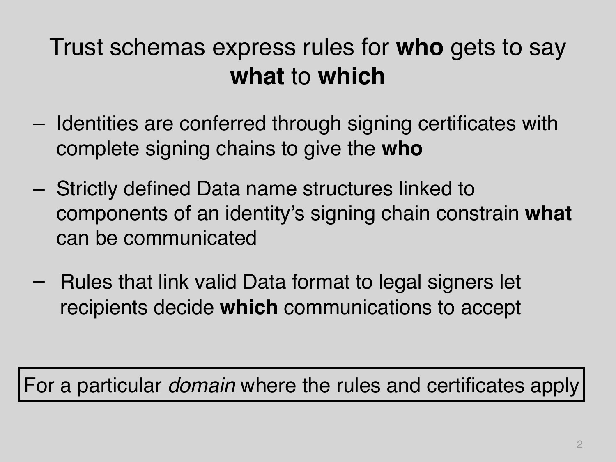## Trust schemas express rules for **who** gets to say **what** to **which**

- Identities are conferred through signing certificates with complete signing chains to give the **who**
- Strictly defined Data name structures linked to components of an identity's signing chain constrain **what** can be communicated
- Rules that link valid Data format to legal signers let recipients decide **which** communications to accept

For a particular *domain* where the rules and certificates apply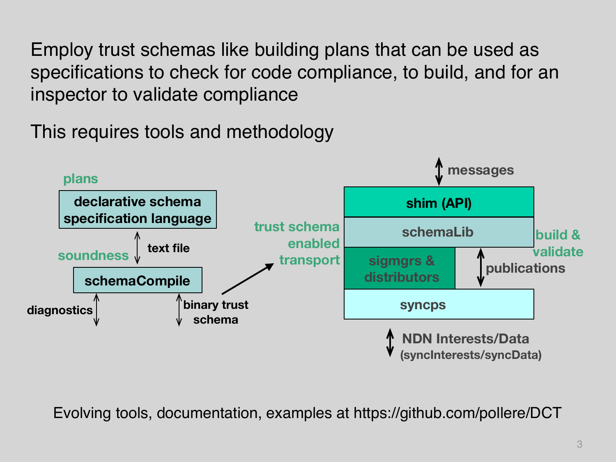Employ trust schemas like building plans that can be used as specifications to check for code compliance, to build, and for an inspector to validate compliance

This requires tools and methodology



Evolving tools, documentation, examples at https://github.com/pollere/DCT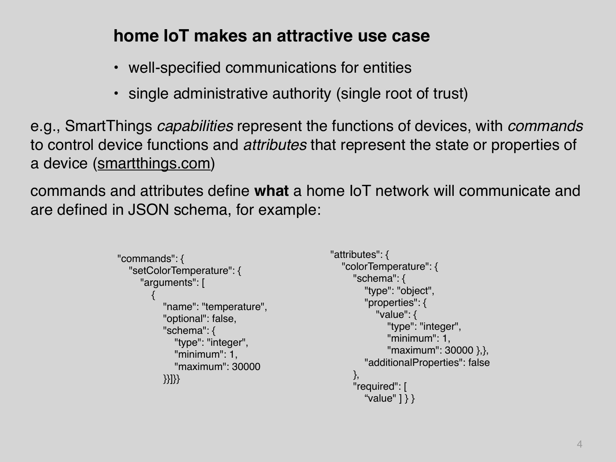#### **home IoT makes an attractive use case**

- well-specified communications for entities
- single administrative authority (single root of trust)

e.g., SmartThings *capabilities* represent the functions of devices, with *commands* to control device functions and *attributes* that represent the state or properties of a device [\(smartthings.com](http://smartthings.com))

commands and attributes define **what** a home IoT network will communicate and are defined in JSON schema, for example:

```
"attributes": { 
                                                            "colorTemperature": { 
                                                               "schema": { 
                                                                  "type": "object", 
                                                                 "properties": { 
                                                                     "value": { 
                                                                        "type": "integer", 
                                                                       "minimum": 1, 
                                                                        "maximum": 30000 },}, 
                                                                 "additionalProperties": false 
                                                               }, 
                                                               "required": [ 
                                                                  "value" ] } }
"commands": { 
    "setColorTemperature": { 
      "arguments": [ 
\overline{\phantom{a}} "name": "temperature", 
            "optional": false, 
            "schema": { 
                "type": "integer", 
                "minimum": 1, 
                "maximum": 30000 
            }}]}}
```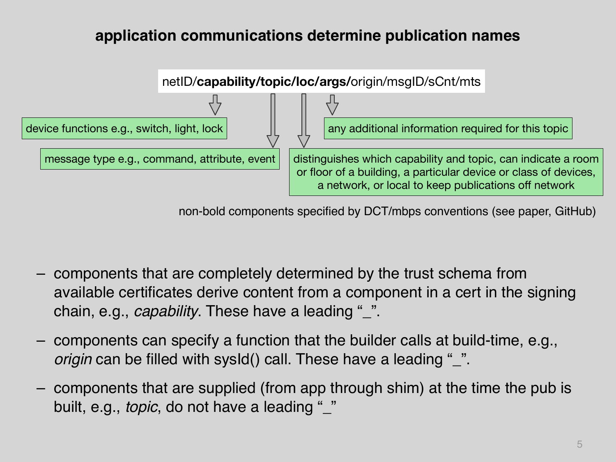#### **application communications determine publication names**



non-bold components specified by DCT/mbps conventions (see paper, GitHub)

- components that are completely determined by the trust schema from available certificates derive content from a component in a cert in the signing chain, e.g., *capability*. These have a leading "\_".
- components can specify a function that the builder calls at build-time, e.g., *origin* can be filled with sysId() call. These have a leading "\_".
- components that are supplied (from app through shim) at the time the pub is built, e.g., *topic*, do not have a leading "\_"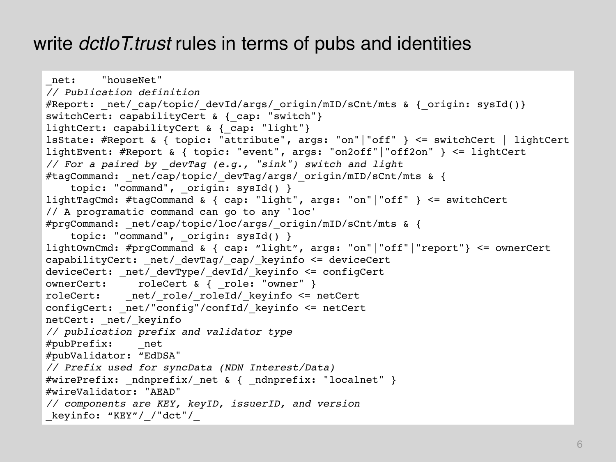#### write *dctIoT.trust* rules in terms of pubs and identities

```
net: "houseNet"
// Publication definition 
#Report: net/ cap/topic/ devId/args/ origin/mID/sCnt/mts & { origin: sysId()}
switchCert: capabilityCert & { cap: "switch"}
lightCert: capabilityCert & { cap: "light"}
lsState: #Report & { topic: "attribute", args: "on"|"off" } <= switchCert | lightCert 
lightEvent: #Report & { topic: "event", args: "on2off"|"off2on" } <= lightCert 
// For a paired by _devTag (e.g., "sink") switch and light 
#tagCommand: _net/cap/topic/_devTag/args/_origin/mID/sCnt/mts & { 
    topic: "command", origin: sysId() }
lightTagCmd: #tagCommand & { cap: "light", args: "on"|"off" } <= switchCert 
// A programatic command can go to any 'loc' 
#prgCommand: _net/cap/topic/loc/args/_origin/mID/sCnt/mts & { 
    topic: "command", origin: sysId() }
lightOwnCmd: #prgCommand & { cap: "light", args: "on"|"off"|"report"} <= ownerCert 
capabilityCert: net/ devTag/ cap/ keyinfo <= deviceCert
deviceCert: _net/_devType/_devId/_keyinfo <= configCert 
ownerCert: roleCert & { _role: "owner" } 
roleCert: net/ role/ roleId/ keyinfo <= netCert
configCert: net/"config"/confId/ keyinfo <= netCert
netCert: net/ keyinfo
// publication prefix and validator type 
#pubPrefix: _net 
#pubValidator: "EdDSA" 
// Prefix used for syncData (NDN Interest/Data) 
#wirePrefix: ndnprefix/ net & { ndnprefix: "localnet" }
#wireValidator: "AEAD" 
// components are KEY, keyID, issuerID, and version 
_keyinfo: "KEY"/_/"dct"/_
```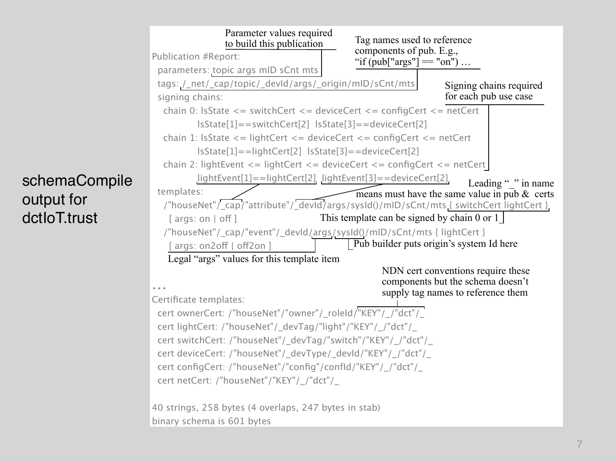

#### schemaCompile output for dctIoT.trust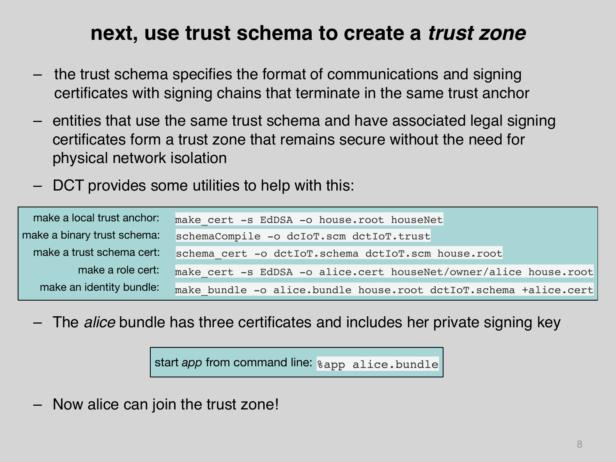### **next, use trust schema to create a** *trust zone*

- the trust schema specifies the format of communications and signing certificates with signing chains that terminate in the same trust anchor
- entities that use the same trust schema and have associated legal signing certificates form a trust zone that remains secure without the need for physical network isolation
- DCT provides some utilities to help with this:

| make a local trust anchor:  | make cert -s EdDSA -o house.root houseNet                        |
|-----------------------------|------------------------------------------------------------------|
| make a binary trust schema: | schemaCompile -o dcIoT.scm dctIoT.trust                          |
| make a trust schema cert:   | schema cert -o dctIoT.schema dctIoT.scm house.root               |
| make a role cert:           | make cert -s EdDSA -o alice.cert houseNet/owner/alice house.root |
| make an identity bundle:    | make bundle -o alice.bundle house.root dctIoT.schema +alice.cert |

– The *alice* bundle has three certificates and includes her private signing key

start *app* from command line: %app alice.bundle

– Now alice can join the trust zone!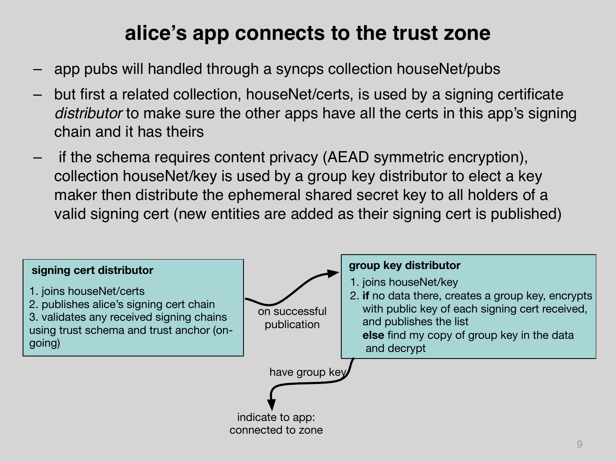## **alice's app connects to the trust zone**

- app pubs will handled through a syncps collection houseNet/pubs
- but first a related collection, houseNet/certs, is used by a signing certificate *distributor* to make sure the other apps have all the certs in this app's signing chain and it has theirs
- if the schema requires content privacy (AEAD symmetric encryption), collection houseNet/key is used by a group key distributor to elect a key maker then distribute the ephemeral shared secret key to all holders of a valid signing cert (new entities are added as their signing cert is published)

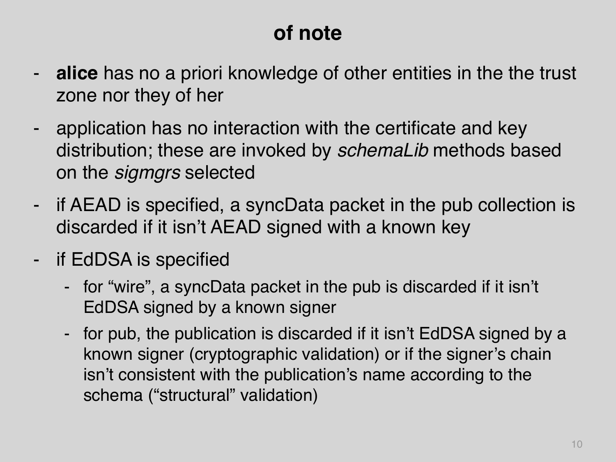## **of note**

- **alice** has no a priori knowledge of other entities in the the trust zone nor they of her
- application has no interaction with the certificate and key distribution; these are invoked by *schemaLib* methods based on the *sigmgrs* selected
- if AEAD is specified, a syncData packet in the pub collection is discarded if it isn't AEAD signed with a known key
- if EdDSA is specified
	- for "wire", a syncData packet in the pub is discarded if it isn't EdDSA signed by a known signer
	- for pub, the publication is discarded if it isn't EdDSA signed by a known signer (cryptographic validation) or if the signer's chain isn't consistent with the publication's name according to the schema ("structural" validation)